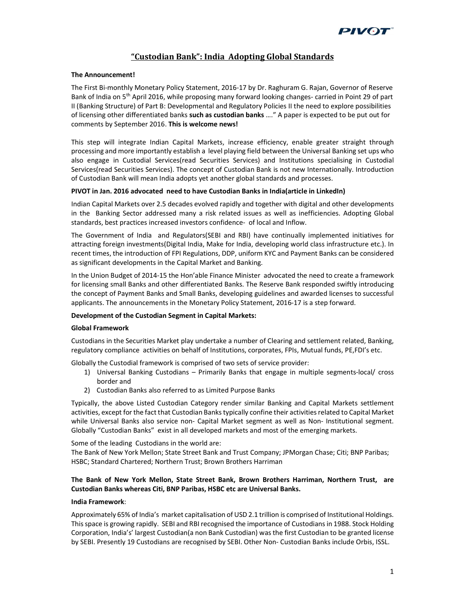

# "Custodian Bank": India Adopting Global Standards

## The Announcement!

The First Bi-monthly Monetary Policy Statement, 2016-17 by Dr. Raghuram G. Rajan, Governor of Reserve Bank of India on 5<sup>th</sup> April 2016, while proposing many forward looking changes- carried in Point 29 of part II (Banking Structure) of Part B: Developmental and Regulatory Policies II the need to explore possibilities of licensing other differentiated banks such as custodian banks ...." A paper is expected to be put out for comments by September 2016. This is welcome news!

This step will integrate Indian Capital Markets, increase efficiency, enable greater straight through processing and more importantly establish a level playing field between the Universal Banking set ups who also engage in Custodial Services(read Securities Services) and Institutions specialising in Custodial Services(read Securities Services). The concept of Custodian Bank is not new Internationally. Introduction of Custodian Bank will mean India adopts yet another global standards and processes.

#### PIVOT in Jan. 2016 advocated need to have Custodian Banks in India(article in LinkedIn)

Indian Capital Markets over 2.5 decades evolved rapidly and together with digital and other developments in the Banking Sector addressed many a risk related issues as well as inefficiencies. Adopting Global standards, best practices increased investors confidence- of local and Inflow.

The Government of India and Regulators(SEBI and RBI) have continually implemented initiatives for attracting foreign investments(Digital India, Make for India, developing world class infrastructure etc.). In recent times, the introduction of FPI Regulations, DDP, uniform KYC and Payment Banks can be considered as significant developments in the Capital Market and Banking.

In the Union Budget of 2014-15 the Hon'able Finance Minister advocated the need to create a framework for licensing small Banks and other differentiated Banks. The Reserve Bank responded swiftly introducing the concept of Payment Banks and Small Banks, developing guidelines and awarded licenses to successful applicants. The announcements in the Monetary Policy Statement, 2016-17 is a step forward.

#### Development of the Custodian Segment in Capital Markets:

#### Global Framework

Custodians in the Securities Market play undertake a number of Clearing and settlement related, Banking, regulatory compliance activities on behalf of Institutions, corporates, FPIs, Mutual funds, PE,FDI's etc.

Globally the Custodial framework is comprised of two sets of service provider:

- 1) Universal Banking Custodians Primarily Banks that engage in multiple segments-local/ cross border and
- 2) Custodian Banks also referred to as Limited Purpose Banks

Typically, the above Listed Custodian Category render similar Banking and Capital Markets settlement activities, except for the fact that Custodian Banks typically confine their activities related to Capital Market while Universal Banks also service non- Capital Market segment as well as Non- Institutional segment. Globally "Custodian Banks" exist in all developed markets and most of the emerging markets.

Some of the leading Custodians in the world are:

The Bank of New York Mellon; State Street Bank and Trust Company; JPMorgan Chase; Citi; BNP Paribas; HSBC; Standard Chartered; Northern Trust; Brown Brothers Harriman

# The Bank of New York Mellon, State Street Bank, Brown Brothers Harriman, Northern Trust, are Custodian Banks whereas Citi, BNP Paribas, HSBC etc are Universal Banks.

#### India Framework:

Approximately 65% of India's market capitalisation of USD 2.1 trillion is comprised of Institutional Holdings. This space is growing rapidly. SEBI and RBI recognised the importance of Custodians in 1988. Stock Holding Corporation, India's' largest Custodian(a non Bank Custodian) was the first Custodian to be granted license by SEBI. Presently 19 Custodians are recognised by SEBI. Other Non- Custodian Banks include Orbis, ISSL.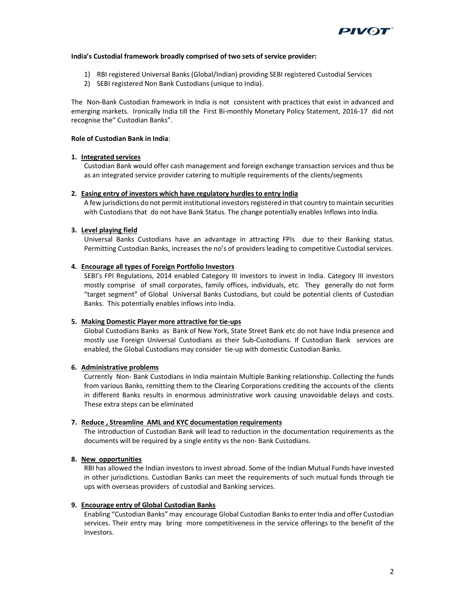

#### India's Custodial framework broadly comprised of two sets of service provider:

- 1) RBI registered Universal Banks (Global/Indian) providing SEBI registered Custodial Services
- 2) SEBI registered Non Bank Custodians (unique to India).

The Non-Bank Custodian framework in India is not consistent with practices that exist in advanced and emerging markets. Ironically India till the First Bi-monthly Monetary Policy Statement, 2016-17 did not recognise the" Custodian Banks".

### Role of Custodian Bank in India:

#### 1. Integrated services

Custodian Bank would offer cash management and foreign exchange transaction services and thus be as an integrated service provider catering to multiple requirements of the clients/segments

#### 2. Easing entry of investors which have regulatory hurdles to entry India

A few jurisdictions do not permit institutional investors registered in that country to maintain securities with Custodians that do not have Bank Status. The change potentially enables Inflows into India.

## 3. Level playing field

Universal Banks Custodians have an advantage in attracting FPIs due to their Banking status. Permitting Custodian Banks, increases the no's of providers leading to competitive Custodial services.

## 4. Encourage all types of Foreign Portfolio Investors

SEBI's FPI Regulations, 2014 enabled Category III investors to invest in India. Category III investors mostly comprise of small corporates, family offices, individuals, etc. They generally do not form "target segment" of Global Universal Banks Custodians, but could be potential clients of Custodian Banks. This potentially enables inflows into India.

# 5. Making Domestic Player more attractive for tie-ups

Global Custodians Banks as Bank of New York, State Street Bank etc do not have India presence and mostly use Foreign Universal Custodians as their Sub-Custodians. If Custodian Bank services are enabled, the Global Custodians may consider tie-up with domestic Custodian Banks.

#### 6. Administrative problems

Currently Non- Bank Custodians in India maintain Multiple Banking relationship. Collecting the funds from various Banks, remitting them to the Clearing Corporations crediting the accounts of the clients in different Banks results in enormous administrative work causing unavoidable delays and costs. These extra steps can be eliminated

#### 7. Reduce , Streamline AML and KYC documentation requirements

The introduction of Custodian Bank will lead to reduction in the documentation requirements as the documents will be required by a single entity vs the non- Bank Custodians.

#### 8. New opportunities

RBI has allowed the Indian investors to invest abroad. Some of the Indian Mutual Funds have invested in other jurisdictions. Custodian Banks can meet the requirements of such mutual funds through tie ups with overseas providers of custodial and Banking services.

#### 9. Encourage entry of Global Custodian Banks

Enabling "Custodian Banks" may encourage Global Custodian Banks to enter India and offer Custodian services. Their entry may bring more competitiveness in the service offerings to the benefit of the Investors.